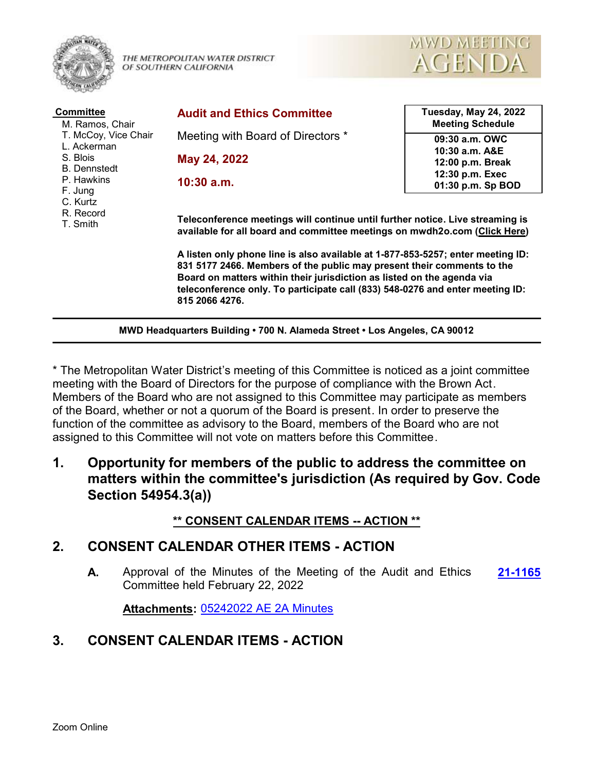

THE METROPOLITAN WATER DISTRICT OF SOUTHERN CALIFORNIA



| <b>Committee</b><br>M. Ramos, Chair<br>T. McCoy, Vice Chair<br>L. Ackerman<br>S. Blois<br><b>B.</b> Dennstedt<br>P. Hawkins<br>F. Jung<br>C. Kurtz<br>R. Record<br>T. Smith | <b>Audit and Ethics Committee</b>                                                                                                                                                                                                                                                                                                      | <b>Tuesday, May 24, 2022</b><br><b>Meeting Schedule</b> |
|-----------------------------------------------------------------------------------------------------------------------------------------------------------------------------|----------------------------------------------------------------------------------------------------------------------------------------------------------------------------------------------------------------------------------------------------------------------------------------------------------------------------------------|---------------------------------------------------------|
|                                                                                                                                                                             | Meeting with Board of Directors *                                                                                                                                                                                                                                                                                                      | 09:30 a.m. OWC                                          |
|                                                                                                                                                                             | May 24, 2022                                                                                                                                                                                                                                                                                                                           | 10:30 a.m. A&E<br>12:00 p.m. Break                      |
|                                                                                                                                                                             | $10:30$ a.m.                                                                                                                                                                                                                                                                                                                           | 12:30 p.m. Exec<br>01:30 p.m. Sp BOD                    |
|                                                                                                                                                                             | Teleconference meetings will continue until further notice. Live streaming is<br>available for all board and committee meetings on mwdh2o.com (Click Here)                                                                                                                                                                             |                                                         |
|                                                                                                                                                                             | A listen only phone line is also available at 1-877-853-5257; enter meeting ID:<br>831 5177 2466. Members of the public may present their comments to the<br>Board on matters within their jurisdiction as listed on the agenda via<br>teleconference only. To participate call (833) 548-0276 and enter meeting ID:<br>815 2066 4276. |                                                         |
|                                                                                                                                                                             | MWD Headquarters Building . 700 N. Alameda Street . Los Angeles, CA 90012                                                                                                                                                                                                                                                              |                                                         |

\* The Metropolitan Water District's meeting of this Committee is noticed as a joint committee meeting with the Board of Directors for the purpose of compliance with the Brown Act. Members of the Board who are not assigned to this Committee may participate as members of the Board, whether or not a quorum of the Board is present. In order to preserve the function of the committee as advisory to the Board, members of the Board who are not assigned to this Committee will not vote on matters before this Committee.

**1. Opportunity for members of the public to address the committee on matters within the committee's jurisdiction (As required by Gov. Code Section 54954.3(a))**

#### **\*\* CONSENT CALENDAR ITEMS -- ACTION \*\***

#### **2. CONSENT CALENDAR OTHER ITEMS - ACTION**

**A.** Approval of the Minutes of the Meeting of the Audit and Ethics **[21-1165](http://mwdh2o.legistar.com/gateway.aspx?m=l&id=/matter.aspx?key=2257)** Committee held February 22, 2022

**Attachments:** [05242022 AE 2A Minutes](http://mwdh2o.legistar.com/gateway.aspx?M=F&ID=659a7851-0733-46fc-9bc2-1008cbb6e171.pdf)

### **3. CONSENT CALENDAR ITEMS - ACTION**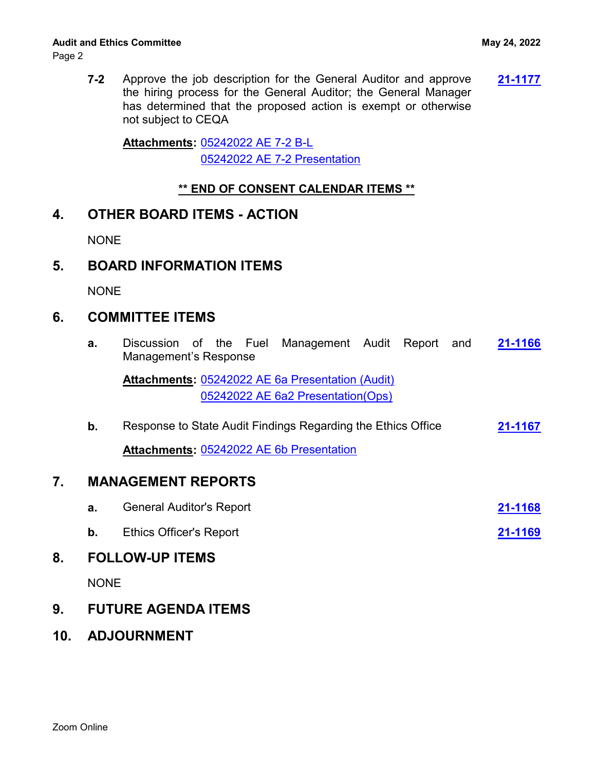Page 2

**7-2** Approve the job description for the General Auditor and approve **[21-1177](http://mwdh2o.legistar.com/gateway.aspx?m=l&id=/matter.aspx?key=2269)** the hiring process for the General Auditor; the General Manager has determined that the proposed action is exempt or otherwise not subject to CEQA

[05242022 AE 7-2 B-L](http://mwdh2o.legistar.com/gateway.aspx?M=F&ID=695d306c-aeaf-4535-9dc0-e2e831552800.pdf) **Attachments:** [05242022 AE 7-2 Presentation](http://mwdh2o.legistar.com/gateway.aspx?M=F&ID=6341c4d5-17f9-42c0-979a-62278b54a3c6.pdf)

### **\*\* END OF CONSENT CALENDAR ITEMS \*\***

## **4. OTHER BOARD ITEMS - ACTION**

**NONE** 

# **5. BOARD INFORMATION ITEMS**

NONE

## **6. COMMITTEE ITEMS**

**a.** Discussion of the Fuel Management Audit Report and **[21-1166](http://mwdh2o.legistar.com/gateway.aspx?m=l&id=/matter.aspx?key=2258)** Management's Response

Attachments: [05242022 AE 6a Presentation \(Audit\)](http://mwdh2o.legistar.com/gateway.aspx?M=F&ID=4ea2f44a-6d0b-476d-9bd9-dc0928b3024e.pdf) [05242022 AE 6a2 Presentation\(Ops\)](http://mwdh2o.legistar.com/gateway.aspx?M=F&ID=70024f15-8828-49a8-bf06-ef75f93b0ab9.pdf)

**b.** Response to State Audit Findings Regarding the Ethics Office **[21-1167](http://mwdh2o.legistar.com/gateway.aspx?m=l&id=/matter.aspx?key=2259) Attachments:** [05242022 AE 6b Presentation](http://mwdh2o.legistar.com/gateway.aspx?M=F&ID=8d6c309b-d21e-469a-8864-8428116ce928.pdf)

## **7. MANAGEMENT REPORTS**

| <b>General Auditor's Report</b> | 21-1168 |
|---------------------------------|---------|
| <b>Ethics Officer's Report</b>  | 21-1169 |

# **8. FOLLOW-UP ITEMS**

NONE

# **9. FUTURE AGENDA ITEMS**

**10. ADJOURNMENT**